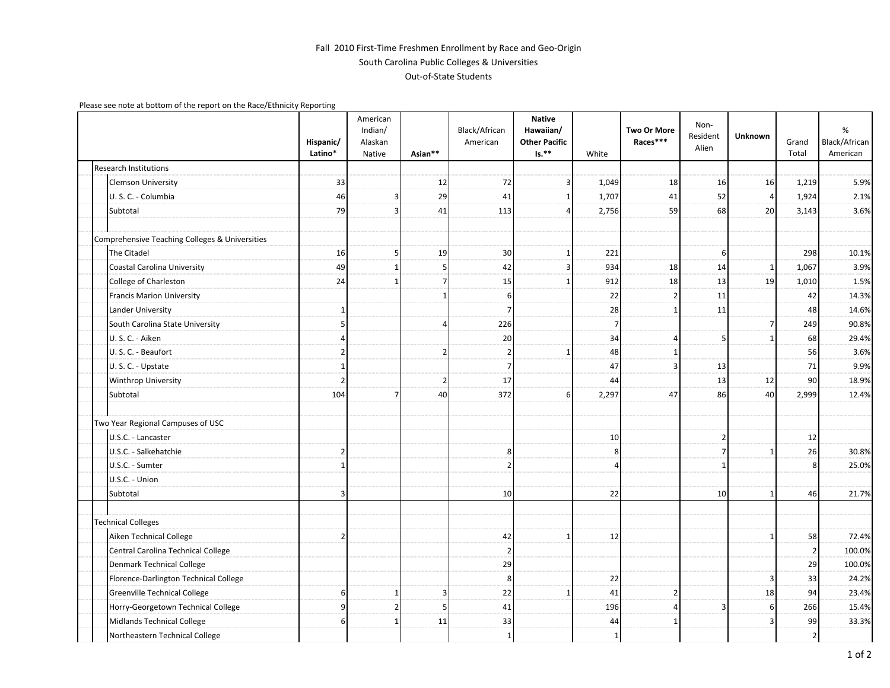## Fall 2010 First-Time Freshmen Enrollment by Race and Geo-Origin South Carolina Public Colleges & Universities Out-of-State Students

Please see note at bottom of the report on the Race/Ethnicity Reporting

|                                                | Hispanic/<br>Latino* | American<br>Indian/<br>Alaskan<br>Native | Asian**                 | Black/African<br>American | <b>Native</b><br>Hawaiian/<br><b>Other Pacific</b><br>$Is.**$ | White          | <b>Two Or More</b><br>Races*** | Non-<br>Resident<br>Alien | Unknown | Grand<br>Total | %<br>Black/African<br>American |
|------------------------------------------------|----------------------|------------------------------------------|-------------------------|---------------------------|---------------------------------------------------------------|----------------|--------------------------------|---------------------------|---------|----------------|--------------------------------|
| <b>Research Institutions</b>                   |                      |                                          |                         |                           |                                                               |                |                                |                           |         |                |                                |
| <b>Clemson University</b>                      | 33                   |                                          | 12                      | 72                        | 3                                                             | 1,049          | 18                             | 16                        | 16      | 1,219          | 5.9%                           |
| U.S.C. - Columbia                              | 46                   | 3                                        | 29                      | 41                        | 1                                                             | 1,707          | 41                             | 52                        | 4       | 1,924          | 2.1%                           |
| Subtotal                                       | 79                   | ς                                        | 41                      | 113                       | Δ                                                             | 2,756          | 59                             | 68                        | 20      | 3,143          | 3.6%                           |
| Comprehensive Teaching Colleges & Universities |                      |                                          |                         |                           |                                                               |                |                                |                           |         |                |                                |
| The Citadel                                    | 16                   | 5                                        | 19                      | 30                        | 1                                                             | 221            |                                | 6                         |         | 298            | 10.1%                          |
| Coastal Carolina University                    | 49                   | 1                                        | 5 <sup>1</sup>          | 42                        | $\overline{3}$                                                | 934            | 18                             | 14                        | -1      | 1,067          | 3.9%                           |
| College of Charleston                          | 24                   | 1                                        | $\overline{7}$          | 15                        | $\mathbf{1}$                                                  | 912            | 18                             | 13                        | 19      | 1,010          | 1.5%                           |
| <b>Francis Marion University</b>               |                      |                                          | 1                       | 6                         |                                                               | 22             |                                | 11                        |         | 42             | 14.3%                          |
| Lander University                              | 1                    |                                          |                         | 7                         |                                                               | 28             |                                | 11                        |         | 48             | 14.6%                          |
| South Carolina State University                | 5                    |                                          | $\overline{4}$          | 226                       |                                                               | $\overline{7}$ |                                |                           | 7       | 249            | 90.8%                          |
| U.S.C. - Aiken                                 |                      |                                          |                         | 20                        |                                                               | 34             |                                | 5                         |         | 68             | 29.4%                          |
| U.S.C. - Beaufort                              |                      |                                          | $\overline{2}$          | $\overline{2}$            | -1                                                            | 48             |                                |                           |         | 56             | 3.6%                           |
| U.S.C. - Upstate                               | 1                    |                                          |                         | 7                         |                                                               | 47             |                                | 13                        |         | 71             | 9.9%                           |
| Winthrop University                            | $\overline{2}$       |                                          | $\overline{2}$          | 17                        |                                                               | 44             |                                | 13                        | 12      | 90             | 18.9%                          |
| Subtotal                                       | 104                  | 7                                        | 40                      | 372                       | 6                                                             | 2,297          | 47                             | 86                        | 40      | 2,999          | 12.4%                          |
| Two Year Regional Campuses of USC              |                      |                                          |                         |                           |                                                               |                |                                |                           |         |                |                                |
| U.S.C. - Lancaster                             |                      |                                          |                         |                           |                                                               | 10             |                                | $\overline{\mathbf{2}}$   |         | 12             |                                |
| U.S.C. - Salkehatchie                          | 2                    |                                          |                         | 8                         |                                                               | 8              |                                | 7                         |         | 26             | 30.8%                          |
| U.S.C. - Sumter                                | 1                    |                                          |                         | $\overline{2}$            |                                                               | $\Delta$       |                                | -1                        |         |                | 25.0%                          |
| U.S.C. - Union                                 |                      |                                          |                         |                           |                                                               |                |                                |                           |         |                |                                |
| Subtotal                                       | 3                    |                                          |                         | 10                        |                                                               | 22             |                                | 10                        |         | 46             | 21.7%                          |
| <b>Technical Colleges</b>                      |                      |                                          |                         |                           |                                                               |                |                                |                           |         |                |                                |
| Aiken Technical College                        | 2                    |                                          |                         | 42                        | $\mathbf{1}$                                                  | 12             |                                |                           |         | 58             | 72.4%                          |
| Central Carolina Technical College             |                      |                                          |                         | -2                        |                                                               |                |                                |                           |         | 2              | 100.0%                         |
| Denmark Technical College                      |                      |                                          |                         | 29                        |                                                               |                |                                |                           |         | 29             | 100.0%                         |
| Florence-Darlington Technical College          |                      |                                          |                         | 8                         |                                                               | 22             |                                |                           |         | 33             | 24.2%                          |
| Greenville Technical College                   | 6                    | 1                                        | $\overline{\mathbf{3}}$ | 22                        | -1                                                            | 41             | 2                              |                           | 18      | 94             | 23.4%                          |
| Horry-Georgetown Technical College             |                      | $\overline{2}$                           | 5                       | 41                        |                                                               | 196            |                                | 3                         |         | 266            | 15.4%                          |
| Midlands Technical College                     | 6                    | 1                                        | 11                      | 33                        |                                                               | 44             |                                |                           |         | 99             | 33.3%                          |
| Northeastern Technical College                 |                      |                                          |                         | 1                         |                                                               | -1             |                                |                           |         | $\overline{2}$ |                                |